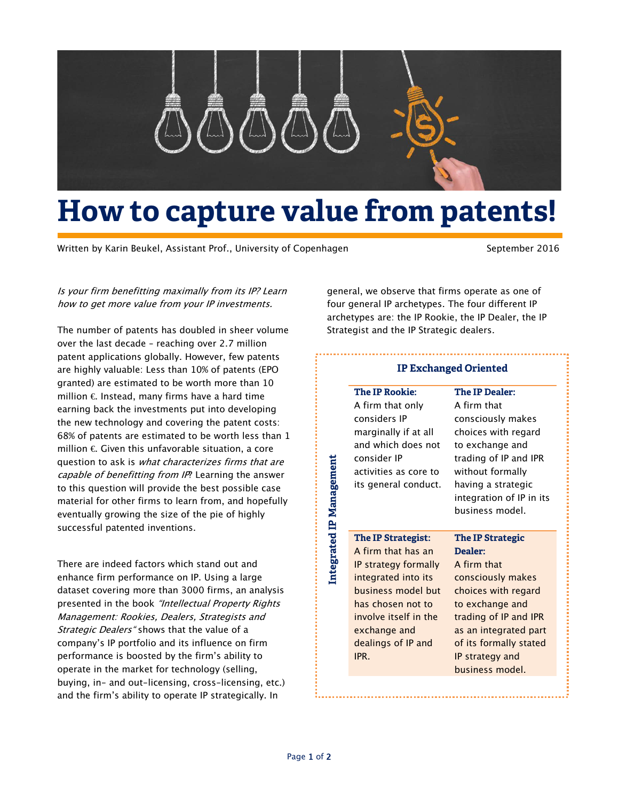

## **How to capture value from patents!**

Written by Karin Beukel, Assistant Prof., University of Copenhagen September 2016

Is your firm benefitting maximally from its IP? Learn how to get more value from your IP investments.

The number of patents has doubled in sheer volume over the last decade – reaching over 2.7 million patent applications globally. However, few patents are highly valuable: Less than 10% of patents (EPO granted) are estimated to be worth more than 10 million  $\epsilon$  Instead, many firms have a hard time earning back the investments put into developing the new technology and covering the patent costs: 68% of patents are estimated to be worth less than 1 million  $\epsilon$  Given this unfavorable situation, a core question to ask is what characterizes firms that are capable of benefitting from IP? Learning the answer to this question will provide the best possible case material for other firms to learn from, and hopefully eventually growing the size of the pie of highly successful patented inventions.

There are indeed factors which stand out and enhance firm performance on IP. Using a large dataset covering more than 3000 firms, an analysis presented in the book "Intellectual Property Rights Management: Rookies, Dealers, Strategists and Strategic Dealers" shows that the value of a company's IP portfolio and its influence on firm performance is boosted by the firm's ability to operate in the market for technology (selling, buying, in- and out-licensing, cross-licensing, etc.) and the firm's ability to operate IP strategically. In

general, we observe that firms operate as one of four general IP archetypes. The four different IP archetypes are: the IP Rookie, the IP Dealer, the IP Strategist and the IP Strategic dealers.

## **IP Exchanged Oriented**

| <b>The IP Rookie:</b> | <b>The IP Dealer:</b>             |
|-----------------------|-----------------------------------|
| A firm that only      | A firm that                       |
| considers IP          | consciously makes                 |
| marginally if at all  | choices with regard               |
| and which does not    | to exchange and                   |
| consider IP           | trading of IP and IPR             |
| activities as core to | without formally                  |
| its general conduct.  | having a strategic                |
|                       | integration of IP in its          |
|                       | business model.                   |
| The IP Strategist:    | <b>The IP Strategic</b>           |
| A firm that has an    | Dealer:                           |
|                       |                                   |
|                       |                                   |
| IP strategy formally  | A firm that                       |
| integrated into its   | consciously makes                 |
| business model but    | choices with regard               |
| has chosen not to     | to exchange and                   |
| involve itself in the | trading of IP and IPR             |
| exchange and          | as an integrated part             |
| dealings of IP and    | of its formally stated            |
| IPR.                  | IP strategy and<br>business model |